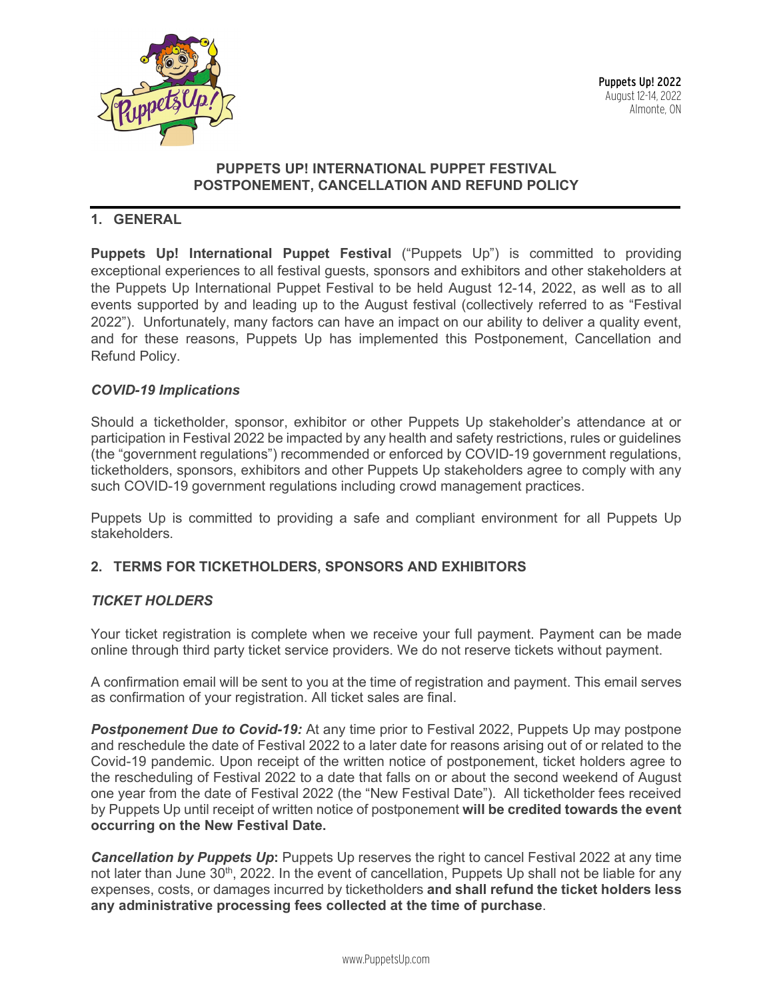

### **PUPPETS UP! INTERNATIONAL PUPPET FESTIVAL POSTPONEMENT, CANCELLATION AND REFUND POLICY**

# **1. GENERAL**

**Puppets Up! International Puppet Festival** ("Puppets Up") is committed to providing exceptional experiences to all festival guests, sponsors and exhibitors and other stakeholders at the Puppets Up International Puppet Festival to be held August 12-14, 2022, as well as to all events supported by and leading up to the August festival (collectively referred to as "Festival 2022"). Unfortunately, many factors can have an impact on our ability to deliver a quality event, and for these reasons, Puppets Up has implemented this Postponement, Cancellation and Refund Policy.

#### *COVID-19 Implications*

Should a ticketholder, sponsor, exhibitor or other Puppets Up stakeholder's attendance at or participation in Festival 2022 be impacted by any health and safety restrictions, rules or guidelines (the "government regulations") recommended or enforced by COVID-19 government regulations, ticketholders, sponsors, exhibitors and other Puppets Up stakeholders agree to comply with any such COVID-19 government regulations including crowd management practices.

Puppets Up is committed to providing a safe and compliant environment for all Puppets Up stakeholders.

#### **2. TERMS FOR TICKETHOLDERS, SPONSORS AND EXHIBITORS**

#### *TICKET HOLDERS*

Your ticket registration is complete when we receive your full payment. Payment can be made online through third party ticket service providers. We do not reserve tickets without payment.

A confirmation email will be sent to you at the time of registration and payment. This email serves as confirmation of your registration. All ticket sales are final.

*Postponement Due to Covid-19:* At any time prior to Festival 2022, Puppets Up may postpone and reschedule the date of Festival 2022 to a later date for reasons arising out of or related to the Covid-19 pandemic. Upon receipt of the written notice of postponement, ticket holders agree to the rescheduling of Festival 2022 to a date that falls on or about the second weekend of August one year from the date of Festival 2022 (the "New Festival Date"). All ticketholder fees received by Puppets Up until receipt of written notice of postponement **will be credited towards the event occurring on the New Festival Date.**

**Cancellation by Puppets Up**: Puppets Up reserves the right to cancel Festival 2022 at any time not later than June 30<sup>th</sup>, 2022. In the event of cancellation, Puppets Up shall not be liable for any expenses, costs, or damages incurred by ticketholders **and shall refund the ticket holders less any administrative processing fees collected at the time of purchase**.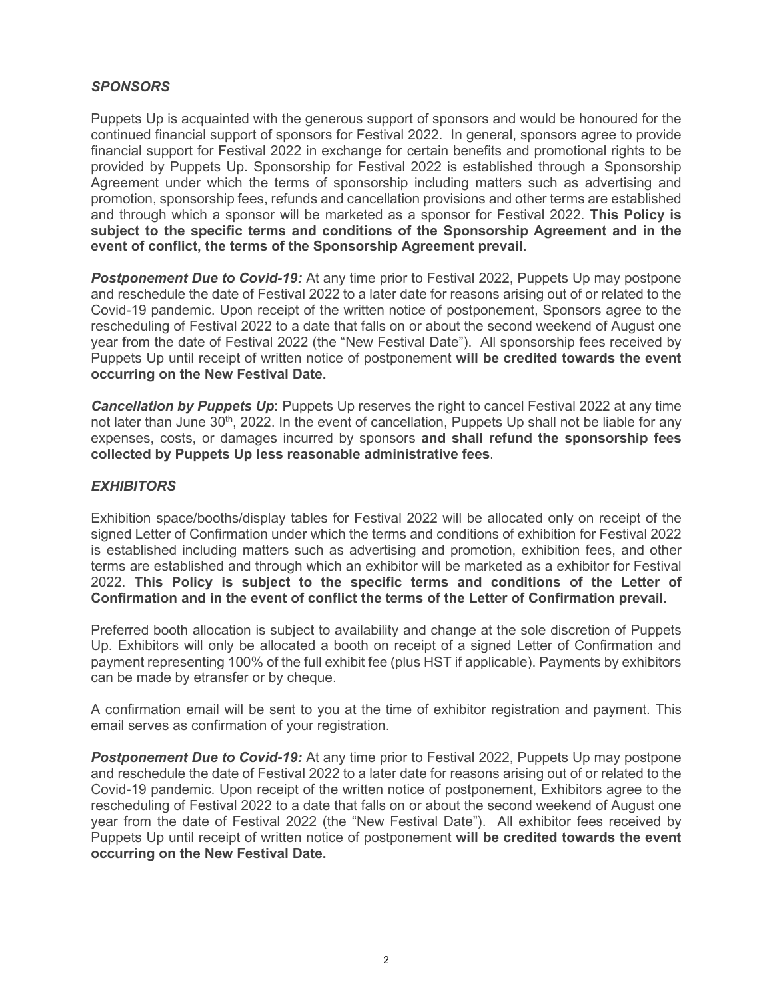## *SPONSORS*

Puppets Up is acquainted with the generous support of sponsors and would be honoured for the continued financial support of sponsors for Festival 2022. In general, sponsors agree to provide financial support for Festival 2022 in exchange for certain benefits and promotional rights to be provided by Puppets Up. Sponsorship for Festival 2022 is established through a Sponsorship Agreement under which the terms of sponsorship including matters such as advertising and promotion, sponsorship fees, refunds and cancellation provisions and other terms are established and through which a sponsor will be marketed as a sponsor for Festival 2022. **This Policy is subject to the specific terms and conditions of the Sponsorship Agreement and in the event of conflict, the terms of the Sponsorship Agreement prevail.**

**Postponement Due to Covid-19:** At any time prior to Festival 2022, Puppets Up may postpone and reschedule the date of Festival 2022 to a later date for reasons arising out of or related to the Covid-19 pandemic. Upon receipt of the written notice of postponement, Sponsors agree to the rescheduling of Festival 2022 to a date that falls on or about the second weekend of August one year from the date of Festival 2022 (the "New Festival Date"). All sponsorship fees received by Puppets Up until receipt of written notice of postponement **will be credited towards the event occurring on the New Festival Date.**

**Cancellation by Puppets Up**: Puppets Up reserves the right to cancel Festival 2022 at any time not later than June  $30<sup>th</sup>$ , 2022. In the event of cancellation, Puppets Up shall not be liable for any expenses, costs, or damages incurred by sponsors **and shall refund the sponsorship fees collected by Puppets Up less reasonable administrative fees**.

#### *EXHIBITORS*

Exhibition space/booths/display tables for Festival 2022 will be allocated only on receipt of the signed Letter of Confirmation under which the terms and conditions of exhibition for Festival 2022 is established including matters such as advertising and promotion, exhibition fees, and other terms are established and through which an exhibitor will be marketed as a exhibitor for Festival 2022. **This Policy is subject to the specific terms and conditions of the Letter of Confirmation and in the event of conflict the terms of the Letter of Confirmation prevail.**

Preferred booth allocation is subject to availability and change at the sole discretion of Puppets Up. Exhibitors will only be allocated a booth on receipt of a signed Letter of Confirmation and payment representing 100% of the full exhibit fee (plus HST if applicable). Payments by exhibitors can be made by etransfer or by cheque.

A confirmation email will be sent to you at the time of exhibitor registration and payment. This email serves as confirmation of your registration.

**Postponement Due to Covid-19:** At any time prior to Festival 2022, Puppets Up may postpone and reschedule the date of Festival 2022 to a later date for reasons arising out of or related to the Covid-19 pandemic. Upon receipt of the written notice of postponement, Exhibitors agree to the rescheduling of Festival 2022 to a date that falls on or about the second weekend of August one year from the date of Festival 2022 (the "New Festival Date"). All exhibitor fees received by Puppets Up until receipt of written notice of postponement **will be credited towards the event occurring on the New Festival Date.**